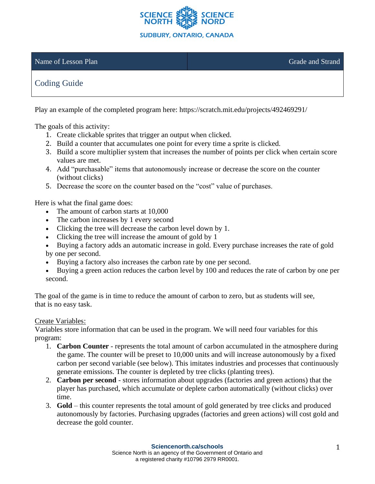

## Name of Lesson Plan Grade and Strand Grade and Strand Grade and Strand Grade and Strand

# Coding Guide

Play an example of the completed program here: https://scratch.mit.edu/projects/492469291/

The goals of this activity:

- 1. Create clickable sprites that trigger an output when clicked.
- 2. Build a counter that accumulates one point for every time a sprite is clicked.
- 3. Build a score multiplier system that increases the number of points per click when certain score values are met.
- 4. Add "purchasable" items that autonomously increase or decrease the score on the counter (without clicks)
- 5. Decrease the score on the counter based on the "cost" value of purchases.

Here is what the final game does:

- The amount of carbon starts at 10,000
- The carbon increases by 1 every second
- Clicking the tree will decrease the carbon level down by 1.
- Clicking the tree will increase the amount of gold by 1
- Buying a factory adds an automatic increase in gold. Every purchase increases the rate of gold by one per second.
- Buying a factory also increases the carbon rate by one per second.
- Buying a green action reduces the carbon level by 100 and reduces the rate of carbon by one per second.

The goal of the game is in time to reduce the amount of carbon to zero, but as students will see, that is no easy task.

## Create Variables:

Variables store information that can be used in the program. We will need four variables for this program:

- 1. **Carbon Counter**  represents the total amount of carbon accumulated in the atmosphere during the game. The counter will be preset to 10,000 units and will increase autonomously by a fixed carbon per second variable (see below). This imitates industries and processes that continuously generate emissions. The counter is depleted by tree clicks (planting trees).
- 2. **Carbon per second** stores information about upgrades (factories and green actions) that the player has purchased, which accumulate or deplete carbon automatically (without clicks) over time.
- 3. **Gold**  this counter represents the total amount of gold generated by tree clicks and produced autonomously by factories. Purchasing upgrades (factories and green actions) will cost gold and decrease the gold counter.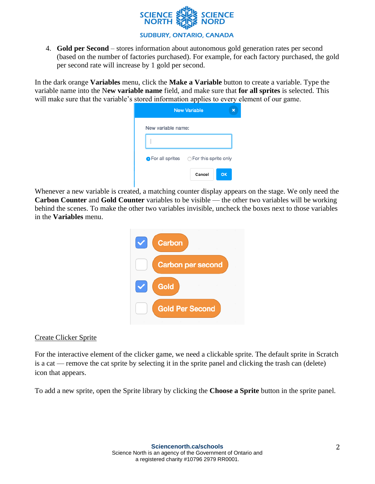

4. **Gold per Second** – stores information about autonomous gold generation rates per second (based on the number of factories purchased). For example, for each factory purchased, the gold per second rate will increase by 1 gold per second.

In the dark orange **Variables** menu, click the **Make a Variable** button to create a variable. Type the variable name into the N**ew variable name** field, and make sure that **for all sprites** is selected. This will make sure that the variable's stored information applies to every element of our game.

|                                                        | <b>New Variable</b> |    |
|--------------------------------------------------------|---------------------|----|
| New variable name:                                     |                     |    |
|                                                        |                     |    |
| $\bullet$ For all sprites $\circ$ For this sprite only |                     |    |
|                                                        | Cancel              | OK |

Whenever a new variable is created, a matching counter display appears on the stage. We only need the **Carbon Counter** and **Gold Counter** variables to be visible — the other two variables will be working behind the scenes. To make the other two variables invisible, uncheck the boxes next to those variables in the **Variables** menu.



## Create Clicker Sprite

For the interactive element of the clicker game, we need a clickable sprite. The default sprite in Scratch is a cat — remove the cat sprite by selecting it in the sprite panel and clicking the trash can (delete) icon that appears.

To add a new sprite, open the Sprite library by clicking the **Choose a Sprite** button in the sprite panel.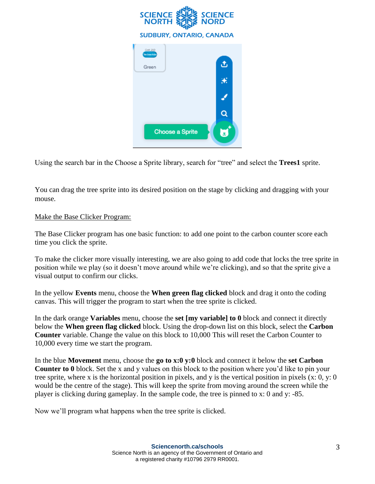

Using the search bar in the Choose a Sprite library, search for "tree" and select the **Trees1** sprite.

You can drag the tree sprite into its desired position on the stage by clicking and dragging with your mouse.

# Make the Base Clicker Program:

The Base Clicker program has one basic function: to add one point to the carbon counter score each time you click the sprite.

To make the clicker more visually interesting, we are also going to add code that locks the tree sprite in position while we play (so it doesn't move around while we're clicking), and so that the sprite give a visual output to confirm our clicks.

In the yellow **Events** menu, choose the **When green flag clicked** block and drag it onto the coding canvas. This will trigger the program to start when the tree sprite is clicked.

In the dark orange **Variables** menu, choose the **set [my variable] to 0** block and connect it directly below the **When green flag clicked** block. Using the drop-down list on this block, select the **Carbon Counter** variable. Change the value on this block to 10,000 This will reset the Carbon Counter to 10,000 every time we start the program.

In the blue **Movement** menu, choose the **go to x:0 y:0** block and connect it below the **set Carbon Counter to 0** block. Set the x and y values on this block to the position where you'd like to pin your tree sprite, where x is the horizontal position in pixels, and y is the vertical position in pixels (x: 0, y: 0 would be the centre of the stage). This will keep the sprite from moving around the screen while the player is clicking during gameplay. In the sample code, the tree is pinned to x: 0 and y: -85.

Now we'll program what happens when the tree sprite is clicked.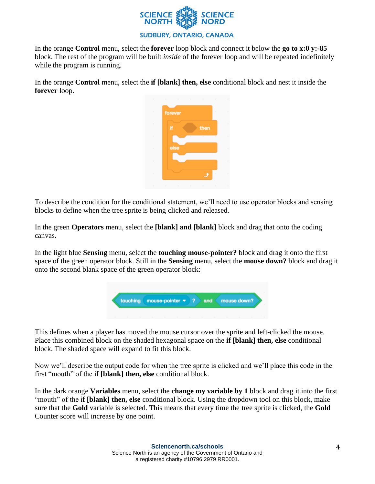

In the orange **Control** menu, select the **forever** loop block and connect it below the **go to x:0 y:-85**  block. The rest of the program will be built *inside* of the forever loop and will be repeated indefinitely while the program is running.

In the orange **Control** menu, select the **if [blank] then, else** conditional block and nest it inside the **forever** loop.



To describe the condition for the conditional statement, we'll need to use operator blocks and sensing blocks to define when the tree sprite is being clicked and released.

In the green **Operators** menu, select the **[blank] and [blank]** block and drag that onto the coding canvas.

In the light blue **Sensing** menu, select the **touching mouse-pointer?** block and drag it onto the first space of the green operator block. Still in the **Sensing** menu, select the **mouse down?** block and drag it onto the second blank space of the green operator block:



This defines when a player has moved the mouse cursor over the sprite and left-clicked the mouse. Place this combined block on the shaded hexagonal space on the **if [blank] then, else** conditional block. The shaded space will expand to fit this block.

Now we'll describe the output code for when the tree sprite is clicked and we'll place this code in the first "mouth" of the i**f [blank] then, else** conditional block.

In the dark orange **Variables** menu, select the **change my variable by 1** block and drag it into the first "mouth" of the i**f [blank] then, else** conditional block. Using the dropdown tool on this block, make sure that the **Gold** variable is selected. This means that every time the tree sprite is clicked, the **Gold** Counter score will increase by one point.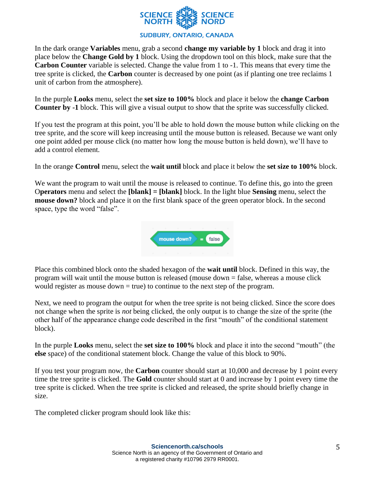

In the dark orange **Variables** menu, grab a second **change my variable by 1** block and drag it into place below the **Change Gold by 1** block. Using the dropdown tool on this block, make sure that the **Carbon Counter** variable is selected. Change the value from 1 to -1. This means that every time the tree sprite is clicked, the **Carbon** counter is decreased by one point (as if planting one tree reclaims 1 unit of carbon from the atmosphere).

In the purple **Looks** menu, select the **set size to 100%** block and place it below the **change Carbon Counter by -1** block. This will give a visual output to show that the sprite was successfully clicked.

If you test the program at this point, you'll be able to hold down the mouse button while clicking on the tree sprite, and the score will keep increasing until the mouse button is released. Because we want only one point added per mouse click (no matter how long the mouse button is held down), we'll have to add a control element.

In the orange **Control** menu, select the **wait until** block and place it below the **set size to 100%** block.

We want the program to wait until the mouse is released to continue. To define this, go into the green O**perators** menu and select the **[blank] = [blank]** block. In the light blue **Sensing** menu, select the **mouse down?** block and place it on the first blank space of the green operator block. In the second space, type the word "false".



Place this combined block onto the shaded hexagon of the **wait until** block. Defined in this way, the program will wait until the mouse button is released (mouse down = false, whereas a mouse click would register as mouse down  $=$  true) to continue to the next step of the program.

Next, we need to program the output for when the tree sprite is not being clicked. Since the score does not change when the sprite is *not* being clicked, the only output is to change the size of the sprite (the other half of the appearance change code described in the first "mouth" of the conditional statement block).

In the purple **Looks** menu, select the **set size to 100%** block and place it into the second "mouth" (the **else** space) of the conditional statement block. Change the value of this block to 90%.

If you test your program now, the **Carbon** counter should start at 10,000 and decrease by 1 point every time the tree sprite is clicked. The **Gold** counter should start at 0 and increase by 1 point every time the tree sprite is clicked. When the tree sprite is clicked and released, the sprite should briefly change in size.

The completed clicker program should look like this: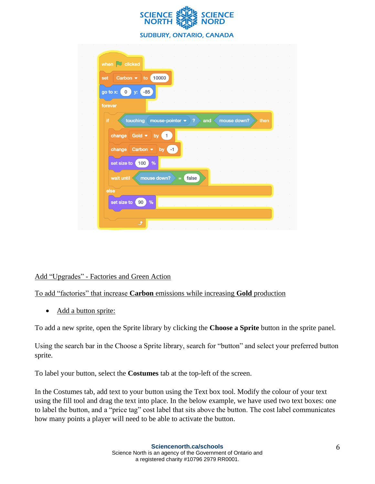

| set      | Carbon $\bullet$<br>to     | 10000                               |          |             |     |  |             |      |
|----------|----------------------------|-------------------------------------|----------|-------------|-----|--|-------------|------|
| go to x: | $\overline{0}$<br>y:       | $-85$                               |          |             |     |  |             |      |
| forever  |                            |                                     |          |             |     |  |             |      |
| if.      | touching                   | mouse-pointer $\blacktriangleright$ |          | $\clubsuit$ | and |  | mouse down? | then |
|          | change Gold $\bullet$ by 1 |                                     |          |             |     |  |             |      |
|          |                            |                                     |          |             |     |  |             |      |
|          | change Carbon $\bullet$ by |                                     | $-1$     |             |     |  |             |      |
|          | set size to<br>100         | %                                   |          |             |     |  |             |      |
|          | wait until                 | mouse down?                         | $\equiv$ | false       |     |  |             |      |
| else     |                            |                                     |          |             |     |  |             |      |

#### Add "Upgrades" - Factories and Green Action

#### To add "factories" that increase **Carbon** emissions while increasing **Gold** production

• Add a button sprite:

To add a new sprite, open the Sprite library by clicking the **Choose a Sprite** button in the sprite panel.

Using the search bar in the Choose a Sprite library, search for "button" and select your preferred button sprite.

To label your button, select the **Costumes** tab at the top-left of the screen.

In the Costumes tab, add text to your button using the Text box tool. Modify the colour of your text using the fill tool and drag the text into place. In the below example, we have used two text boxes: one to label the button, and a "price tag" cost label that sits above the button. The cost label communicates how many points a player will need to be able to activate the button.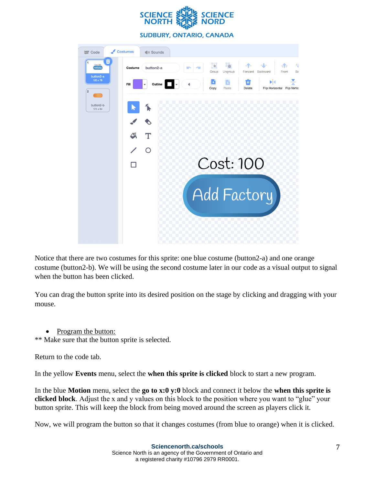



Notice that there are two costumes for this sprite: one blue costume (button2-a) and one orange costume (button2-b). We will be using the second costume later in our code as a visual output to signal when the button has been clicked.

You can drag the button sprite into its desired position on the stage by clicking and dragging with your mouse.

• Program the button:

\*\* Make sure that the button sprite is selected.

Return to the code tab.

In the yellow **Events** menu, select the **when this sprite is clicked** block to start a new program.

In the blue **Motion** menu, select the **go to x:0 y:0** block and connect it below the **when this sprite is clicked block**. Adjust the x and y values on this block to the position where you want to "glue" your button sprite. This will keep the block from being moved around the screen as players click it.

Now, we will program the button so that it changes costumes (from blue to orange) when it is clicked.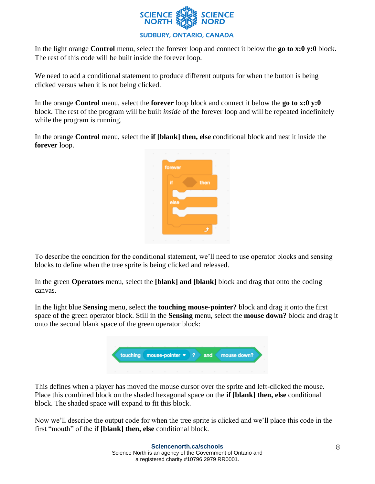

In the light orange **Control** menu, select the forever loop and connect it below the **go to x:0 y:0** block. The rest of this code will be built inside the forever loop.

We need to add a conditional statement to produce different outputs for when the button is being clicked versus when it is not being clicked.

In the orange **Control** menu, select the **forever** loop block and connect it below the **go to x:0 y:0** block. The rest of the program will be built *inside* of the forever loop and will be repeated indefinitely while the program is running.

In the orange **Control** menu, select the **if [blank] then, else** conditional block and nest it inside the **forever** loop.



To describe the condition for the conditional statement, we'll need to use operator blocks and sensing blocks to define when the tree sprite is being clicked and released.

In the green **Operators** menu, select the **[blank] and [blank]** block and drag that onto the coding canvas.

In the light blue **Sensing** menu, select the **touching mouse-pointer?** block and drag it onto the first space of the green operator block. Still in the **Sensing** menu, select the **mouse down?** block and drag it onto the second blank space of the green operator block:



This defines when a player has moved the mouse cursor over the sprite and left-clicked the mouse. Place this combined block on the shaded hexagonal space on the **if [blank] then, else** conditional block. The shaded space will expand to fit this block.

Now we'll describe the output code for when the tree sprite is clicked and we'll place this code in the first "mouth" of the i**f [blank] then, else** conditional block.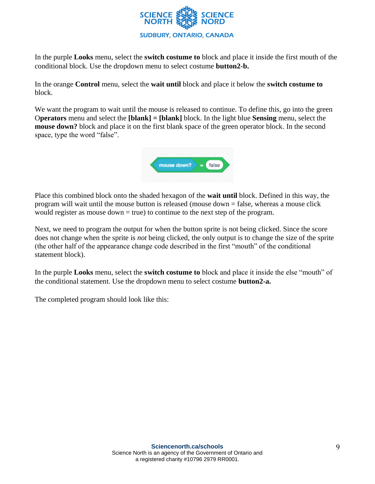

In the purple **Looks** menu, select the **switch costume to** block and place it inside the first mouth of the conditional block. Use the dropdown menu to select costume **button2-b.** 

In the orange **Control** menu, select the **wait until** block and place it below the **switch costume to** block.

We want the program to wait until the mouse is released to continue. To define this, go into the green O**perators** menu and select the **[blank] = [blank]** block. In the light blue **Sensing** menu, select the **mouse down?** block and place it on the first blank space of the green operator block. In the second space, type the word "false".



Place this combined block onto the shaded hexagon of the **wait until** block. Defined in this way, the program will wait until the mouse button is released (mouse down = false, whereas a mouse click would register as mouse  $down = true$ ) to continue to the next step of the program.

Next, we need to program the output for when the button sprite is not being clicked. Since the score does not change when the sprite is *not* being clicked, the only output is to change the size of the sprite (the other half of the appearance change code described in the first "mouth" of the conditional statement block).

In the purple **Looks** menu, select the **switch costume to** block and place it inside the else "mouth" of the conditional statement. Use the dropdown menu to select costume **button2-a.**

The completed program should look like this: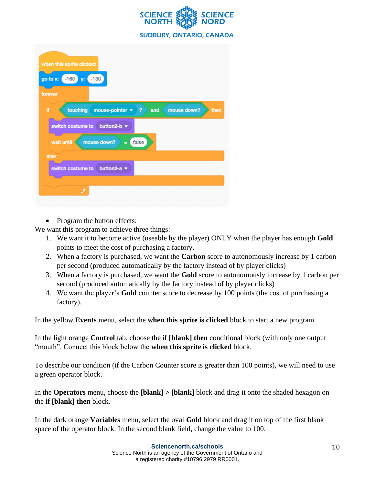

| touching mouse-pointer =<br>button2-b $\star$ | $\sim$<br>$\sim$<br>2<br>$\sim$ | $\sim$<br>$\sim$<br>and<br>$\sim$ | $\mathcal{L}$ | mouse down?    |                                                   | $\sim$<br>then                        |
|-----------------------------------------------|---------------------------------|-----------------------------------|---------------|----------------|---------------------------------------------------|---------------------------------------|
|                                               |                                 |                                   |               |                |                                                   |                                       |
|                                               |                                 |                                   |               |                |                                                   |                                       |
|                                               |                                 |                                   |               |                |                                                   |                                       |
|                                               |                                 |                                   | $\mathcal{L}$ |                |                                                   | $\sim$                                |
| $\blacksquare$                                |                                 |                                   |               |                |                                                   |                                       |
|                                               |                                 |                                   |               |                |                                                   |                                       |
| button2-a $\sim$                              |                                 |                                   |               |                |                                                   | The Control of                        |
|                                               |                                 |                                   |               |                |                                                   |                                       |
|                                               | 18.                             | false<br>$\sim$                   |               | <b>COLLEGE</b> | and the state of the state<br>the contract of the | the contract of the<br>$\sim 10^{-1}$ |

• Program the button effects:

We want this program to achieve three things:

- 1. We want it to become active (useable by the player) ONLY when the player has enough **Gold**  points to meet the cost of purchasing a factory.
- 2. When a factory is purchased, we want the **Carbon** score to autonomously increase by 1 carbon per second (produced automatically by the factory instead of by player clicks)
- 3. When a factory is purchased, we want the **Gold** score to autonomously increase by 1 carbon per second (produced automatically by the factory instead of by player clicks)
- 4. We want the player's **Gold** counter score to decrease by 100 points (the cost of purchasing a factory).

In the yellow **Events** menu, select the **when this sprite is clicked** block to start a new program.

In the light orange **Control** tab, choose the **if [blank] then** conditional block (with only one output "mouth". Connect this block below the **when this sprite is clicked** block.

To describe our condition (if the Carbon Counter score is greater than 100 points), we will need to use a green operator block.

In the **Operators** menu, choose the **[blank] > [blank]** block and drag it onto the shaded hexagon on the **if [blank] then** block.

In the dark orange **Variables** menu, select the oval **Gold** block and drag it on top of the first blank space of the operator block. In the second blank field, change the value to 100.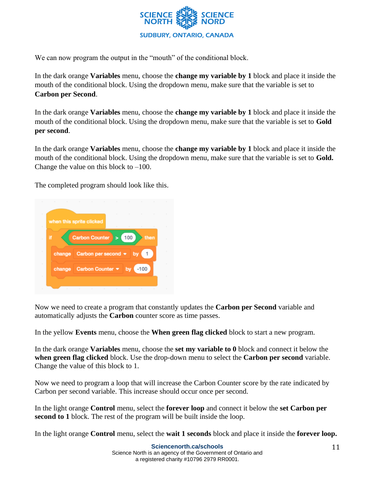

We can now program the output in the "mouth" of the conditional block.

In the dark orange **Variables** menu, choose the **change my variable by 1** block and place it inside the mouth of the conditional block. Using the dropdown menu, make sure that the variable is set to **Carbon per Second**.

In the dark orange **Variables** menu, choose the **change my variable by 1** block and place it inside the mouth of the conditional block. Using the dropdown menu, make sure that the variable is set to **Gold per second**.

In the dark orange **Variables** menu, choose the **change my variable by 1** block and place it inside the mouth of the conditional block. Using the dropdown menu, make sure that the variable is set to **Gold.**  Change the value on this block to  $-100$ .

The completed program should look like this.



Now we need to create a program that constantly updates the **Carbon per Second** variable and automatically adjusts the **Carbon** counter score as time passes.

In the yellow **Events** menu, choose the **When green flag clicked** block to start a new program.

In the dark orange **Variables** menu, choose the **set my variable to 0** block and connect it below the **when green flag clicked** block. Use the drop-down menu to select the **Carbon per second** variable. Change the value of this block to 1.

Now we need to program a loop that will increase the Carbon Counter score by the rate indicated by Carbon per second variable. This increase should occur once per second.

In the light orange **Control** menu, select the **forever loop** and connect it below the **set Carbon per second to 1** block. The rest of the program will be built inside the loop.

In the light orange **Control** menu, select the **wait 1 seconds** block and place it inside the **forever loop.**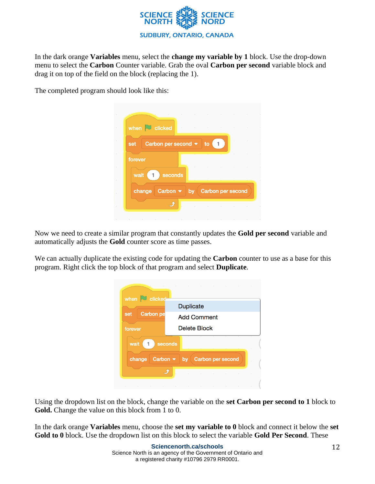

In the dark orange **Variables** menu, select the **change my variable by 1** block. Use the drop-down menu to select the **Carbon** Counter variable. Grab the oval **Carbon per second** variable block and drag it on top of the field on the block (replacing the 1).

The completed program should look like this:

|         |                                            |                                   |  | the contract of the contract of the contract of the contract of the contract of | $\sim$ |
|---------|--------------------------------------------|-----------------------------------|--|---------------------------------------------------------------------------------|--------|
|         | when $\sim$ clicked                        | the control of the control of the |  |                                                                                 |        |
| set     | Carbon per second $\bullet$ to $\boxed{1}$ |                                   |  |                                                                                 |        |
| forever |                                            |                                   |  |                                                                                 |        |
| wait    | seconds<br>1                               |                                   |  |                                                                                 |        |
|         | Carbon $\bullet$ by<br>change              |                                   |  | <b>Carbon per second</b>                                                        |        |
|         |                                            |                                   |  |                                                                                 |        |

Now we need to create a similar program that constantly updates the **Gold per second** variable and automatically adjusts the **Gold** counter score as time passes.

We can actually duplicate the existing code for updating the **Carbon** counter to use as a base for this program. Right click the top block of that program and select **Duplicate**.

| when $\Box$ clicked                   | the contract of the contract of the contract of the contract of the contract of the contract of the contract of                        |
|---------------------------------------|----------------------------------------------------------------------------------------------------------------------------------------|
|                                       | Duplicate                                                                                                                              |
| <b>Carbon</b> pe<br>set               | <b>Add Comment</b>                                                                                                                     |
| forever                               | <b>Delete Block</b>                                                                                                                    |
| wait<br>1                             | seconds                                                                                                                                |
| Carbon $\blacktriangledown$<br>change | Carbon per second<br>by                                                                                                                |
|                                       | the contract of the contract of                                                                                                        |
|                                       | the contract of the contract of the contract of the contract of the contract of<br>the contract of the contract of<br>$\sim$<br>$\sim$ |

Using the dropdown list on the block, change the variable on the **set Carbon per second to 1** block to **Gold.** Change the value on this block from 1 to 0.

In the dark orange **Variables** menu, choose the **set my variable to 0** block and connect it below the **set Gold to 0** block. Use the dropdown list on this block to select the variable **Gold Per Second**. These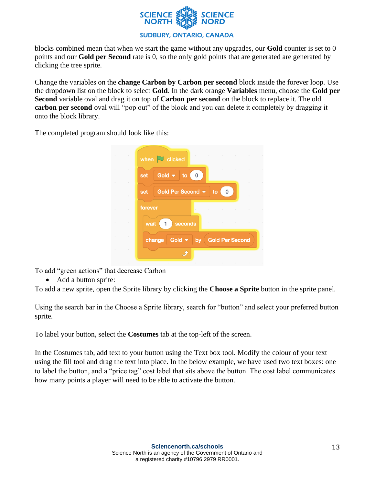

blocks combined mean that when we start the game without any upgrades, our **Gold** counter is set to 0 points and our **Gold per Second** rate is 0, so the only gold points that are generated are generated by clicking the tree sprite.

Change the variables on the **change Carbon by Carbon per second** block inside the forever loop. Use the dropdown list on the block to select **Gold**. In the dark orange **Variables** menu, choose the **Gold per Second** variable oval and drag it on top of **Carbon per second** on the block to replace it. The old carbon per second oval will "pop out" of the block and you can delete it completely by dragging it onto the block library.

The completed program should look like this:

| $\mathbf{0}$<br>set<br>Gold Per Second $\blacktriangledown$<br>to<br>0<br>set<br>forever<br>the control of the control of the<br>wait<br>seconds<br>$\blacksquare$<br>Gold $\bullet$ by<br><b>Gold Per Second</b><br>change | when $\Box$ clicked |
|-----------------------------------------------------------------------------------------------------------------------------------------------------------------------------------------------------------------------------|---------------------|
|                                                                                                                                                                                                                             | Gold $\bullet$ to   |
|                                                                                                                                                                                                                             |                     |
|                                                                                                                                                                                                                             |                     |
|                                                                                                                                                                                                                             |                     |
|                                                                                                                                                                                                                             |                     |

To add "green actions" that decrease Carbon

• Add a button sprite:

To add a new sprite, open the Sprite library by clicking the **Choose a Sprite** button in the sprite panel.

Using the search bar in the Choose a Sprite library, search for "button" and select your preferred button sprite.

To label your button, select the **Costumes** tab at the top-left of the screen.

In the Costumes tab, add text to your button using the Text box tool. Modify the colour of your text using the fill tool and drag the text into place. In the below example, we have used two text boxes: one to label the button, and a "price tag" cost label that sits above the button. The cost label communicates how many points a player will need to be able to activate the button.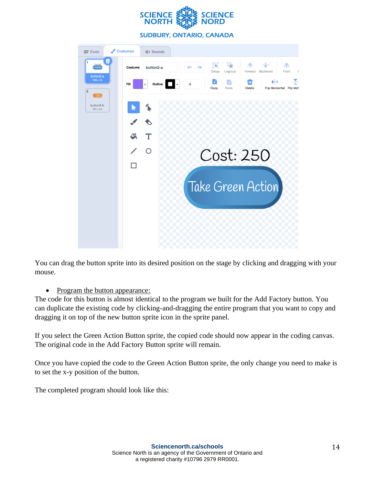



You can drag the button sprite into its desired position on the stage by clicking and dragging with your mouse.

## • Program the button appearance:

The code for this button is almost identical to the program we built for the Add Factory button. You can duplicate the existing code by clicking-and-dragging the entire program that you want to copy and dragging it on top of the new button sprite icon in the sprite panel.

If you select the Green Action Button sprite, the copied code should now appear in the coding canvas. The original code in the Add Factory Button sprite will remain.

Once you have copied the code to the Green Action Button sprite, the only change you need to make is to set the x-y position of the button.

The completed program should look like this: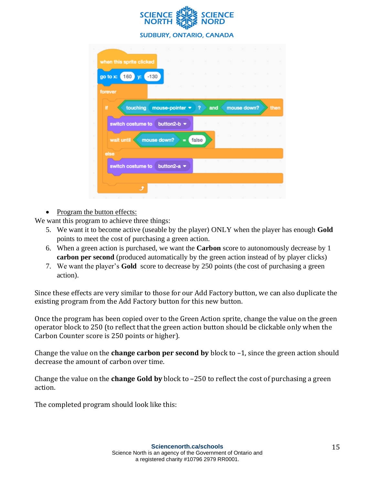

| when this sprite clicked |                   |                |       |     |             |      |
|--------------------------|-------------------|----------------|-------|-----|-------------|------|
| go to x:<br>160<br>v:    | $-130$            |                |       |     |             |      |
| forever                  |                   |                |       |     |             |      |
| Ħ<br>touching            | mouse-pointer =   |                | 9     | and | mouse down? | then |
| switch costume to        | button2-b $\star$ |                |       |     |             |      |
| wait until               | mouse down?       | $\blacksquare$ | false |     |             |      |
| else                     |                   |                |       |     |             |      |
| switch costume to        | button2-a $\sim$  |                |       |     |             |      |
|                          |                   |                |       |     |             |      |
|                          |                   |                |       |     |             |      |

• Program the button effects:

We want this program to achieve three things:

- 5. We want it to become active (useable by the player) ONLY when the player has enough **Gold** points to meet the cost of purchasing a green action.
- 6. When a green action is purchased, we want the **Carbon** score to autonomously decrease by 1 **carbon per second** (produced automatically by the green action instead of by player clicks)
- 7. We want the player's **Gold** score to decrease by 250 points (the cost of purchasing a green action).

Since these effects are very similar to those for our Add Factory button, we can also duplicate the existing program from the Add Factory button for this new button.

Once the program has been copied over to the Green Action sprite, change the value on the green operator block to 250 (to reflect that the green action button should be clickable only when the Carbon Counter score is 250 points or higher).

Change the value on the **change carbon per second by** block to –1, since the green action should decrease the amount of carbon over time.

Change the value on the **change Gold by** block to –250 to reflect the cost of purchasing a green action.

The completed program should look like this: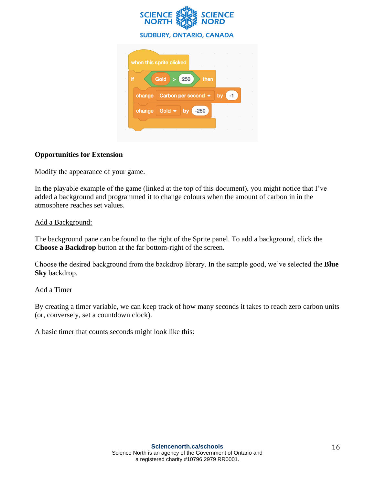

## **Opportunities for Extension**

Modify the appearance of your game.

In the playable example of the game (linked at the top of this document), you might notice that I've added a background and programmed it to change colours when the amount of carbon in in the atmosphere reaches set values.

## Add a Background:

The background pane can be found to the right of the Sprite panel. To add a background, click the **Choose a Backdrop** button at the far bottom-right of the screen.

Choose the desired background from the backdrop library. In the sample good, we've selected the **Blue Sky** backdrop.

## Add a Timer

By creating a timer variable, we can keep track of how many seconds it takes to reach zero carbon units (or, conversely, set a countdown clock).

A basic timer that counts seconds might look like this: